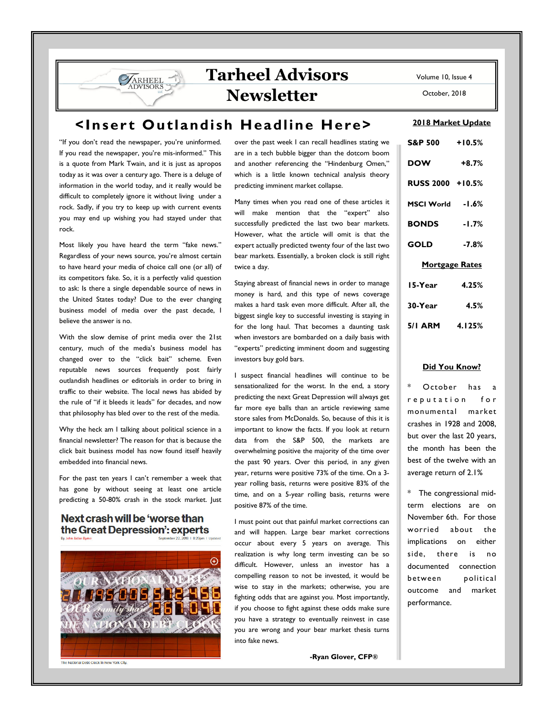# **Tarheel Advisors Newsletter**

**<Inser t Outlandish Headline Here>** 

"If you don't read the newspaper, you're uninformed. If you read the newspaper, you're mis-informed." This is a quote from Mark Twain, and it is just as apropos today as it was over a century ago. There is a deluge of information in the world today, and it really would be difficult to completely ignore it without living under a rock. Sadly, if you try to keep up with current events you may end up wishing you had stayed under that rock.

**VARHEEL** 

Most likely you have heard the term "fake news." Regardless of your news source, you're almost certain to have heard your media of choice call one (or all) of its competitors fake. So, it is a perfectly valid question to ask: Is there a single dependable source of news in the United States today? Due to the ever changing business model of media over the past decade, I believe the answer is no.

With the slow demise of print media over the 21st century, much of the media's business model has changed over to the "click bait" scheme. Even reputable news sources frequently post fairly outlandish headlines or editorials in order to bring in traffic to their website. The local news has abided by the rule of "if it bleeds it leads" for decades, and now that philosophy has bled over to the rest of the media.

Why the heck am I talking about political science in a financial newsletter? The reason for that is because the click bait business model has now found itself heavily embedded into financial news.

For the past ten years I can't remember a week that has gone by without seeing at least one article predicting a 50-80% crash in the stock market. Just

### Next crash will be 'worse than the Great Depression': experts



over the past week I can recall headlines stating we are in a tech bubble bigger than the dotcom boom and another referencing the "Hindenburg Omen," which is a little known technical analysis theory predicting imminent market collapse.

Many times when you read one of these articles it will make mention that the "expert" also successfully predicted the last two bear markets. However, what the article will omit is that the expert actually predicted twenty four of the last two bear markets. Essentially, a broken clock is still right twice a day.

Staying abreast of financial news in order to manage money is hard, and this type of news coverage makes a hard task even more difficult. After all, the biggest single key to successful investing is staying in for the long haul. That becomes a daunting task when investors are bombarded on a daily basis with "experts" predicting imminent doom and suggesting investors buy gold bars.

I suspect financial headlines will continue to be sensationalized for the worst. In the end, a story predicting the next Great Depression will always get far more eye balls than an article reviewing same store sales from McDonalds. So, because of this it is important to know the facts. If you look at return data from the S&P 500, the markets are overwhelming positive the majority of the time over the past 90 years. Over this period, in any given year, returns were positive 73% of the time. On a 3 year rolling basis, returns were positive 83% of the time, and on a 5-year rolling basis, returns were positive 87% of the time.

I must point out that painful market corrections can and will happen. Large bear market corrections occur about every 5 years on average. This realization is why long term investing can be so difficult. However, unless an investor has a compelling reason to not be invested, it would be wise to stay in the markets; otherwise, you are fighting odds that are against you. Most importantly, if you choose to fight against these odds make sure you have a strategy to eventually reinvest in case you are wrong and your bear market thesis turns into fake news.

**-Ryan Glover, CFP®**

Volume 10, Issue 4

October, 2018

#### **2018 Market Update**

| S&P 500 +10.5%        |         |  |  |  |  |
|-----------------------|---------|--|--|--|--|
| <b>DOW</b>            | $+8.7%$ |  |  |  |  |
| RUSS 2000 +10.5%      |         |  |  |  |  |
| MSCI World -1.6%      |         |  |  |  |  |
| <b>BONDS</b> -1.7%    |         |  |  |  |  |
| GOLD                  | $-7.8%$ |  |  |  |  |
| <b>Mortgage Rates</b> |         |  |  |  |  |
| 15-Year               | 4.25%   |  |  |  |  |
| 30-Year               | 4.5%    |  |  |  |  |
| 5/1 ARM 4.125%        |         |  |  |  |  |

#### **Did You Know?**

October has a r e putation for monumental market crashes in 1928 and 2008, but over the last 20 years, the month has been the best of the twelve with an average return of 2.1%

\* The congressional midterm elections are on November 6th. For those worried about the implications on either side, there is no documented connection between political outcome and market performance.